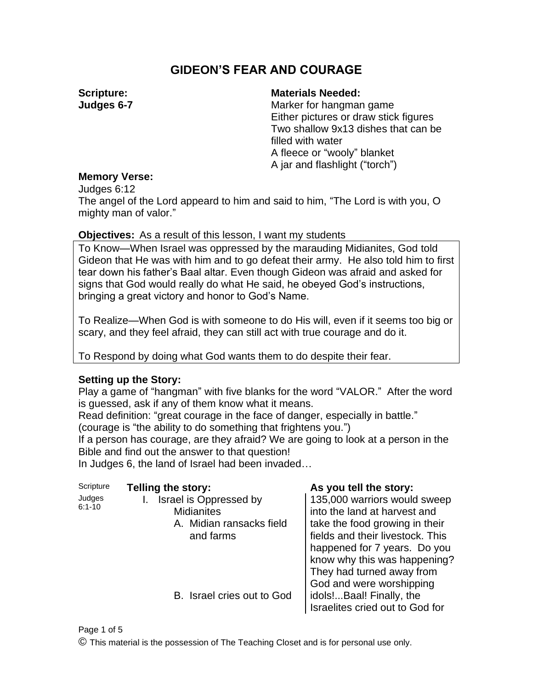# **GIDEON'S FEAR AND COURAGE**

**Scripture: Judges 6-7** 

#### **Materials Needed:**

Marker for hangman game Either pictures or draw stick figures Two shallow 9x13 dishes that can be filled with water A fleece or "wooly" blanket A jar and flashlight ("torch")

## **Memory Verse:**

Judges 6:12

The angel of the Lord appeard to him and said to him, "The Lord is with you, O mighty man of valor."

## **Objectives:** As a result of this lesson, I want my students

To Know—When Israel was oppressed by the marauding Midianites, God told Gideon that He was with him and to go defeat their army. He also told him to first tear down his father's Baal altar. Even though Gideon was afraid and asked for signs that God would really do what He said, he obeyed God's instructions, bringing a great victory and honor to God's Name.

To Realize—When God is with someone to do His will, even if it seems too big or scary, and they feel afraid, they can still act with true courage and do it.

To Respond by doing what God wants them to do despite their fear.

## **Setting up the Story:**

Play a game of "hangman" with five blanks for the word "VALOR." After the word is guessed, ask if any of them know what it means.

Read definition: "great courage in the face of danger, especially in battle." (courage is "the ability to do something that frightens you.")

If a person has courage, are they afraid? We are going to look at a person in the Bible and find out the answer to that question!

In Judges 6, the land of Israel had been invaded…

| Scripture            | <b>Telling the story:</b>                                                            | As you tell the story:                                                                                                                                                                                                          |  |
|----------------------|--------------------------------------------------------------------------------------|---------------------------------------------------------------------------------------------------------------------------------------------------------------------------------------------------------------------------------|--|
| Judges<br>$6:1 - 10$ | Israel is Oppressed by<br><b>Midianites</b><br>A. Midian ransacks field<br>and farms | 135,000 warriors would sweep<br>into the land at harvest and<br>take the food growing in their<br>fields and their livestock. This<br>happened for 7 years. Do you<br>know why this was happening?<br>They had turned away from |  |
|                      | B. Israel cries out to God                                                           | God and were worshipping<br>idols!Baal! Finally, the<br>Israelites cried out to God for                                                                                                                                         |  |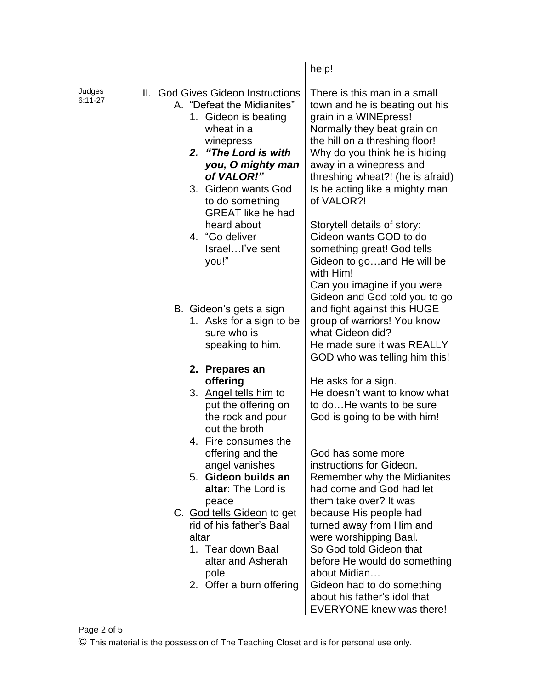|                     |  |                                                                                                                                                                                                                                                                                                                  | help!                                                                                                                                                                                                                                                                                                                                                                                                                                                                                                      |
|---------------------|--|------------------------------------------------------------------------------------------------------------------------------------------------------------------------------------------------------------------------------------------------------------------------------------------------------------------|------------------------------------------------------------------------------------------------------------------------------------------------------------------------------------------------------------------------------------------------------------------------------------------------------------------------------------------------------------------------------------------------------------------------------------------------------------------------------------------------------------|
| Judges<br>$6:11-27$ |  | II. God Gives Gideon Instructions<br>A. "Defeat the Midianites"<br>1. Gideon is beating<br>wheat in a<br>winepress<br>2. "The Lord is with<br>you, O mighty man<br>of VALOR!"<br>3. Gideon wants God<br>to do something<br><b>GREAT</b> like he had<br>heard about<br>4. "Go deliver<br>IsraelI've sent<br>you!" | There is this man in a small<br>town and he is beating out his<br>grain in a WINEpress!<br>Normally they beat grain on<br>the hill on a threshing floor!<br>Why do you think he is hiding<br>away in a winepress and<br>threshing wheat?! (he is afraid)<br>Is he acting like a mighty man<br>of VALOR?!<br>Storytell details of story:<br>Gideon wants GOD to do<br>something great! God tells<br>Gideon to goand He will be<br>with Him!<br>Can you imagine if you were<br>Gideon and God told you to go |
|                     |  | B. Gideon's gets a sign<br>1. Asks for a sign to be<br>sure who is<br>speaking to him.<br>2. Prepares an<br>offering<br>3. Angel tells him to<br>put the offering on<br>the rock and pour<br>out the broth                                                                                                       | and fight against this HUGE<br>group of warriors! You know<br>what Gideon did?<br>He made sure it was REALLY<br>GOD who was telling him this!<br>He asks for a sign.<br>He doesn't want to know what<br>to doHe wants to be sure<br>God is going to be with him!                                                                                                                                                                                                                                           |
|                     |  | 4. Fire consumes the<br>offering and the<br>angel vanishes<br>5. Gideon builds an<br>altar: The Lord is<br>peace<br>C. God tells Gideon to get<br>rid of his father's Baal<br>altar<br>1. Tear down Baal<br>altar and Asherah<br>pole<br>2. Offer a burn offering                                                | God has some more<br>instructions for Gideon.<br>Remember why the Midianites<br>had come and God had let<br>them take over? It was<br>because His people had<br>turned away from Him and<br>were worshipping Baal.<br>So God told Gideon that<br>before He would do something<br>about Midian<br>Gideon had to do something<br>about his father's idol that<br><b>EVERYONE knew was there!</b>                                                                                                             |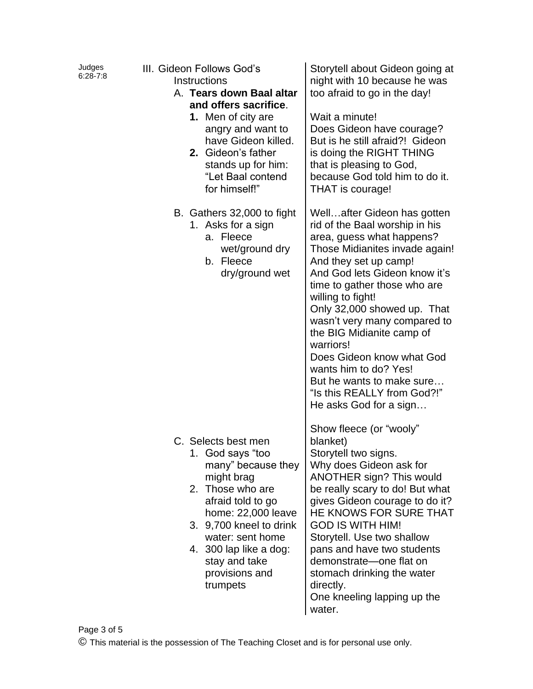| Judges<br>$6:28 - 7:8$ | III. Gideon Follows God's<br>Instructions<br>A. Tears down Baal altar<br>and offers sacrifice.<br>1. Men of city are<br>angry and want to<br>have Gideon killed.<br>2. Gideon's father<br>stands up for him:<br>"Let Baal contend<br>for himself!"                 | Storytell about Gideon going at<br>night with 10 because he was<br>too afraid to go in the day!<br>Wait a minute!<br>Does Gideon have courage?<br>But is he still afraid?! Gideon<br>is doing the RIGHT THING<br>that is pleasing to God,<br>because God told him to do it.<br>THAT is courage!                                                                                                                                                                                                  |
|------------------------|--------------------------------------------------------------------------------------------------------------------------------------------------------------------------------------------------------------------------------------------------------------------|--------------------------------------------------------------------------------------------------------------------------------------------------------------------------------------------------------------------------------------------------------------------------------------------------------------------------------------------------------------------------------------------------------------------------------------------------------------------------------------------------|
|                        | B. Gathers 32,000 to fight<br>1. Asks for a sign<br>a. Fleece<br>wet/ground dry<br>b. Fleece<br>dry/ground wet                                                                                                                                                     | Wellafter Gideon has gotten<br>rid of the Baal worship in his<br>area, guess what happens?<br>Those Midianites invade again!<br>And they set up camp!<br>And God lets Gideon know it's<br>time to gather those who are<br>willing to fight!<br>Only 32,000 showed up. That<br>wasn't very many compared to<br>the BIG Midianite camp of<br>warriors!<br>Does Gideon know what God<br>wants him to do? Yes!<br>But he wants to make sure<br>"Is this REALLY from God?!"<br>He asks God for a sign |
|                        | C. Selects best men<br>1. God says "too<br>many" because they<br>might brag<br>2. Those who are<br>afraid told to go<br>home: 22,000 leave<br>3. 9,700 kneel to drink<br>water: sent home<br>4. 300 lap like a dog:<br>stay and take<br>provisions and<br>trumpets | Show fleece (or "wooly"<br>blanket)<br>Storytell two signs.<br>Why does Gideon ask for<br>ANOTHER sign? This would<br>be really scary to do! But what<br>gives Gideon courage to do it?<br>HE KNOWS FOR SURE THAT<br><b>GOD IS WITH HIM!</b><br>Storytell. Use two shallow<br>pans and have two students<br>demonstrate-one flat on<br>stomach drinking the water<br>directly.<br>One kneeling lapping up the<br>water.                                                                          |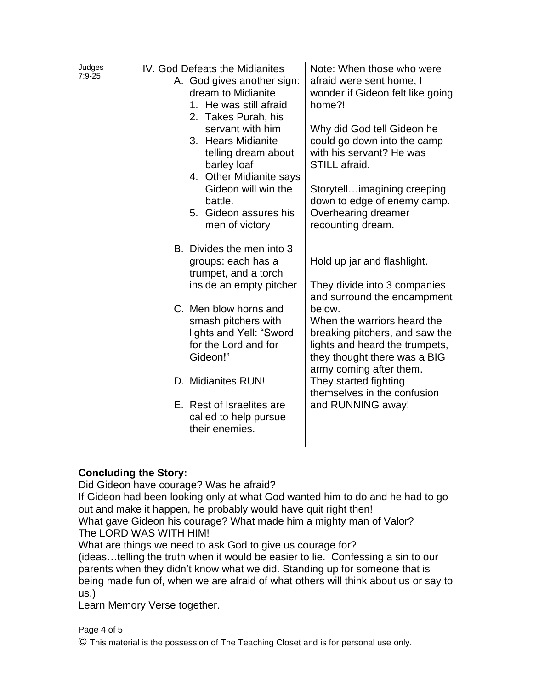| Judges<br>$7:9-25$ | IV. God Defeats the Midianites<br>A. God gives another sign:<br>dream to Midianite<br>1. He was still afraid<br>2. Takes Purah, his<br>servant with him<br>3. Hears Midianite<br>telling dream about<br>barley loaf<br>4. Other Midianite says<br>Gideon will win the<br>battle.<br>5. Gideon assures his<br>men of victory | Note: When those who were<br>afraid were sent home, I<br>wonder if Gideon felt like going<br>home?!<br>Why did God tell Gideon he<br>could go down into the camp<br>with his servant? He was<br>STILL afraid.<br>Storytellimagining creeping<br>down to edge of enemy camp.<br>Overhearing dreamer<br>recounting dream. |
|--------------------|-----------------------------------------------------------------------------------------------------------------------------------------------------------------------------------------------------------------------------------------------------------------------------------------------------------------------------|-------------------------------------------------------------------------------------------------------------------------------------------------------------------------------------------------------------------------------------------------------------------------------------------------------------------------|
|                    | B. Divides the men into 3<br>groups: each has a<br>trumpet, and a torch<br>inside an empty pitcher                                                                                                                                                                                                                          | Hold up jar and flashlight.<br>They divide into 3 companies<br>and surround the encampment                                                                                                                                                                                                                              |
|                    | C. Men blow horns and<br>smash pitchers with<br>lights and Yell: "Sword<br>for the Lord and for<br>Gideon!"                                                                                                                                                                                                                 | below.<br>When the warriors heard the<br>breaking pitchers, and saw the<br>lights and heard the trumpets,<br>they thought there was a BIG<br>army coming after them.                                                                                                                                                    |
|                    | D. Midianites RUN!                                                                                                                                                                                                                                                                                                          | They started fighting<br>themselves in the confusion                                                                                                                                                                                                                                                                    |
|                    | E. Rest of Israelites are<br>called to help pursue<br>their enemies.                                                                                                                                                                                                                                                        | and RUNNING away!                                                                                                                                                                                                                                                                                                       |

## **Concluding the Story:**

Did Gideon have courage? Was he afraid?

If Gideon had been looking only at what God wanted him to do and he had to go out and make it happen, he probably would have quit right then! What gave Gideon his courage? What made him a mighty man of Valor? The LORD WAS WITH HIM!

What are things we need to ask God to give us courage for?

(ideas…telling the truth when it would be easier to lie. Confessing a sin to our parents when they didn't know what we did. Standing up for someone that is being made fun of, when we are afraid of what others will think about us or say to us.)

Learn Memory Verse together.

Page 4 of 5 © This material is the possession of The Teaching Closet and is for personal use only.